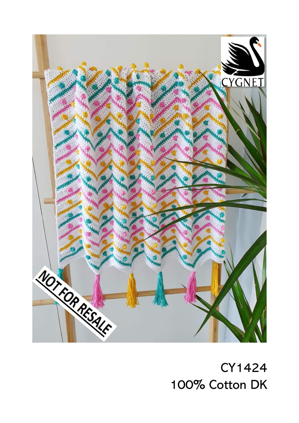

**CY1424** 100% Cotton DK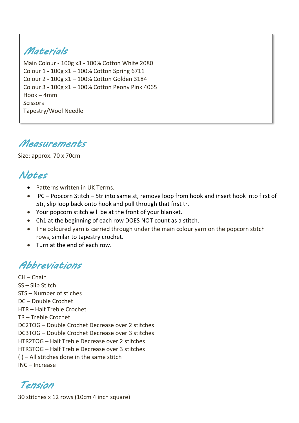# *Materials*

 Main Colour - 100g x3 - 100% Cotton White 2080 Colour 1 - 100g x1 – 100% Cotton Spring 6711 Colour 2 - 100g x1 – 100% Cotton Golden 3184 Colour 3 - 100g x1 – 100% Cotton Peony Pink 4065 Hook – 4mm **Scissors** Tapestry/Wool Needle

### *Measurements*

Size: approx. 70 x 70cm

## *Notes*

- Patterns written in UK Terms.
- PC Popcorn Stitch 5tr into same st, remove loop from hook and insert hook into first of 5tr, slip loop back onto hook and pull through that first tr.

Ī

- Your popcorn stitch will be at the front of your blanket.
- Ch1 at the beginning of each row DOES NOT count as a stitch.
- The coloured yarn is carried through under the main colour yarn on the popcorn stitch rows, similar to tapestry crochet.
- Turn at the end of each row.

### *Abbreviations*

CH – Chain SS – Slip Stitch STS – Number of stiches DC – Double Crochet HTR – Half Treble Crochet TR – Treble Crochet DC2TOG – Double Crochet Decrease over 2 stitches DC3TOG – Double Crochet Decrease over 3 stitches HTR2TOG – Half Treble Decrease over 2 stitches HTR3TOG – Half Treble Decrease over 3 stitches ( ) – All stitches done in the same stitch INC – Increase

*Tension*

30 stitches x 12 rows (10cm 4 inch square)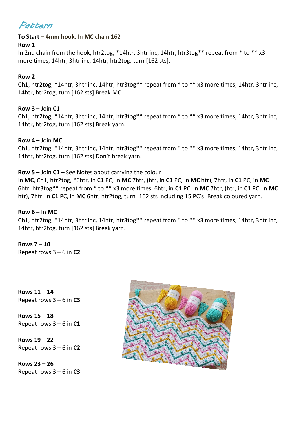### *Pattern*

#### **To Start – 4mm hook,** In **MC** chain 162

#### **Row 1**

In 2nd chain from the hook, htr2tog, \*14htr, 3htr inc, 14htr, htr3tog\*\* repeat from \* to \*\* x3 more times, 14htr, 3htr inc, 14htr, htr2tog, turn [162 sts].

#### **Row 2**

Ch1, htr2tog, \*14htr, 3htr inc, 14htr, htr3tog\*\* repeat from \* to \*\* x3 more times, 14htr, 3htr inc, 14htr, htr2tog, turn [162 sts] Break MC.

#### **Row 3 –** Join **C1**

Ch1, htr2tog, \*14htr, 3htr inc, 14htr, htr3tog\*\* repeat from \* to \*\* x3 more times, 14htr, 3htr inc, 14htr, htr2tog, turn [162 sts] Break yarn.

#### **Row 4 –** Join **MC**

Ch1, htr2tog, \*14htr, 3htr inc, 14htr, htr3tog\*\* repeat from \* to \*\* x3 more times, 14htr, 3htr inc, 14htr, htr2tog, turn [162 sts] Don't break yarn.

#### **Row 5 –** Join **C1** – See Notes about carrying the colour

In **MC**, Ch1, htr2tog, \*6htr, in **C1** PC, in **MC** 7htr, (htr, in **C1** PC, in **MC** htr), 7htr, in **C1** PC, in **MC** 6htr, htr3tog\*\* repeat from \* to \*\* x3 more times, 6htr, in **C1** PC, in **MC** 7htr, (htr, in **C1** PC, in **MC** htr), 7htr, in **C1** PC, in **MC** 6htr, htr2tog, turn [162 sts including 15 PC's] Break coloured yarn.

#### **Row 6 –** In **MC**

Ch1, htr2tog, \*14htr, 3htr inc, 14htr, htr3tog\*\* repeat from \* to \*\* x3 more times, 14htr, 3htr inc, 14htr, htr2tog, turn [162 sts] Break yarn.

**Rows 7 – 10**  Repeat rows 3 – 6 in **C2**

**Rows 11 – 14**  Repeat rows 3 – 6 in **C3**

**Rows 15 – 18** Repeat rows 3 – 6 in **C1**

**Rows 19 – 22**  Repeat rows 3 – 6 in **C2**

**Rows 23 – 26** Repeat rows 3 – 6 in **C3**

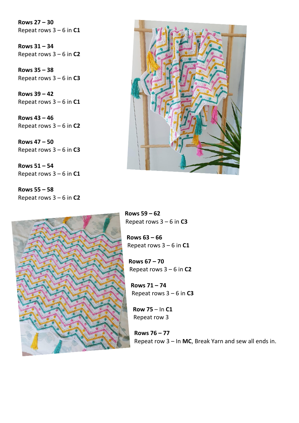**Rows 27 – 30** Repeat rows 3 – 6 in **C1**

**Rows 31 – 34**  Repeat rows 3 – 6 in **C2**

**Rows 35 – 38**  Repeat rows 3 – 6 in **C3**

**Rows 39 – 42** Repeat rows 3 – 6 in **C1**

**Rows 43 – 46** Repeat rows 3 – 6 in **C2**

**Rows 47 – 50** Repeat rows 3 – 6 in **C3**

**Rows 51 – 54** Repeat rows 3 – 6 in **C1**

**Rows 55 – 58** Repeat rows 3 – 6 in **C2**





**Rows 59 – 62** Repeat rows 3 – 6 in **C3**

**Rows 63 – 66** Repeat rows 3 – 6 in **C1**

**Rows 67 – 70** Repeat rows 3 – 6 in **C2**

**Rows 71 – 74** Repeat rows 3 – 6 in **C3**

**Row 75** – In **C1** Repeat row 3

**Rows 76 – 77** Repeat row 3 – In **MC**, Break Yarn and sew all ends in.